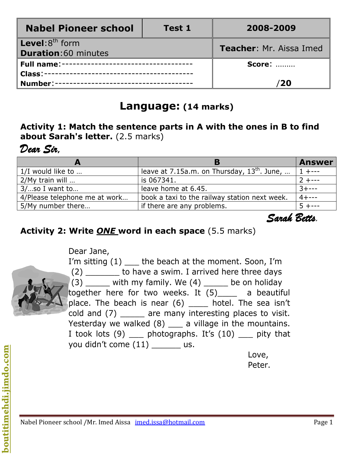| <b>Nabel Pioneer school</b>                               | <b>Test 1</b> | 2008-2009                      |  |
|-----------------------------------------------------------|---------------|--------------------------------|--|
| <b>Level:</b> $8^{th}$ form<br><b>Duration:60 minutes</b> |               | <b>Teacher: Mr. Aissa Imed</b> |  |
| Full name:----------------------------------              |               | <b>Score: </b>                 |  |
|                                                           |               |                                |  |
| Number:----------------------------------                 |               | 20                             |  |

# **Language: (14 marks)**

#### **Activity 1: Match the sentence parts in A with the ones in B to find about Sarah's letter.** (2.5 marks)

# *Dear Sir,*

|                               |                                                 | <b>Answer</b> |
|-------------------------------|-------------------------------------------------|---------------|
| 1/I would like to             | leave at $7.15a.m.$ on Thursday, $13th$ . June, |               |
| $2/My$ train will             | is 067341.                                      |               |
| $3/$ so I want to             | leave home at 6.45.                             |               |
| 4/Please telephone me at work | book a taxi to the railway station next week.   |               |
| 5/My number there             | if there are any problems.                      |               |

 *Sarah Betts.*

### **Activity 2: Write** *ONE* **word in each space** (5.5 marks)

Dear Jane,



I'm sitting (1) \_\_\_\_ the beach at the moment. Soon, I'm (2) \_\_\_\_\_\_\_ to have a swim. I arrived here three days  $(3)$  \_\_\_\_\_ with my family. We  $(4)$  \_\_\_\_\_ be on holiday together here for two weeks. It (5)\_\_\_\_ a beautiful place. The beach is near (6) \_\_\_\_ hotel. The sea isn't cold and (7) are many interesting places to visit. Yesterday we walked  $(8)$   $\qquad$  a village in the mountains. I took lots (9) \_\_\_ photographs. It's (10) \_\_\_ pity that you didn't come (11) us.

 Love, **Peter.** The contract of the contract of the contract of the Peter.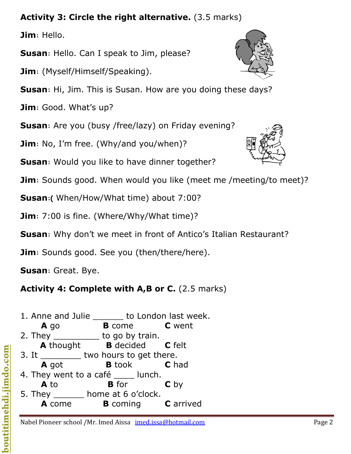# **Activity 3: Circle the right alternative.** (3.5 marks)

**Jim:** Hello.

**Susan:** Hello. Can I speak to Jim, please?

**Jim:** (Myself/Himself/Speaking).

**Susan:** Hi, Jim. This is Susan. How are you doing these days?

**Jim:** Good. What's up?

**Susan**: Are you (busy /free/lazy) on Friday evening?

**Jim**: No, I'm free. (Why/and you/when)?

**Susan:** Would you like to have dinner together?

**Jim:** Sounds good. When would you like (meet me /meeting/to meet)?

**Susan:(** When/How/What time) about 7:00?

**Jim:** 7:00 is fine. (Where/Why/What time)?

**Susan:** Why don't we meet in front of Antico's Italian Restaurant?

**Jim**: Sounds good. See you (then/there/here).

**Susan:** Great. Bye.

# **Activity 4: Complete with A,B or C.** (2.5 marks)

1. Anne and Julie \_\_\_\_\_\_ to London last week. **A** go **B** come **C** went 2. They \_\_\_\_\_\_\_\_\_\_\_ to go by train. **A** thought **B** decided **C** felt 3. It \_\_\_\_\_\_\_\_\_\_ two hours to get there. **A** got **B** took **C** had 4. They went to a café \_\_\_\_\_ lunch. **A** to **B** for **C** by 5. They \_\_\_\_\_\_ home at 6 o'clock. **A** come **B** coming **C** arrived

Nabel Pioneer school /Mr. Imed Aissa imed.issa@hotmail.com entitled and a second Page 2



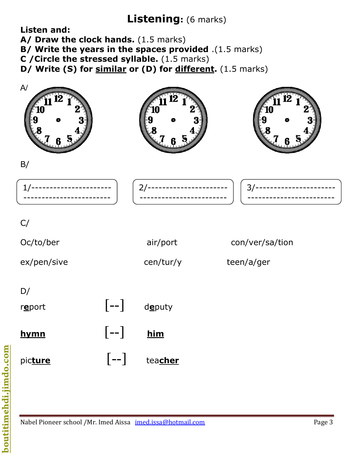# **Listening:** (6 marks)

**Listen and:** 

A/ Draw the clock hands. (1.5 marks)

**B/ Write the years in the spaces provided** .(1.5 marks)

**C /Circle the stressed syllable.** (1.5 marks)

**D/ Write (S) for similar or (D) for different.** (1.5 marks)



Nabel Pioneer school /Mr. Imed Aissa imed.issa@hotmail.com entitled and all page 3